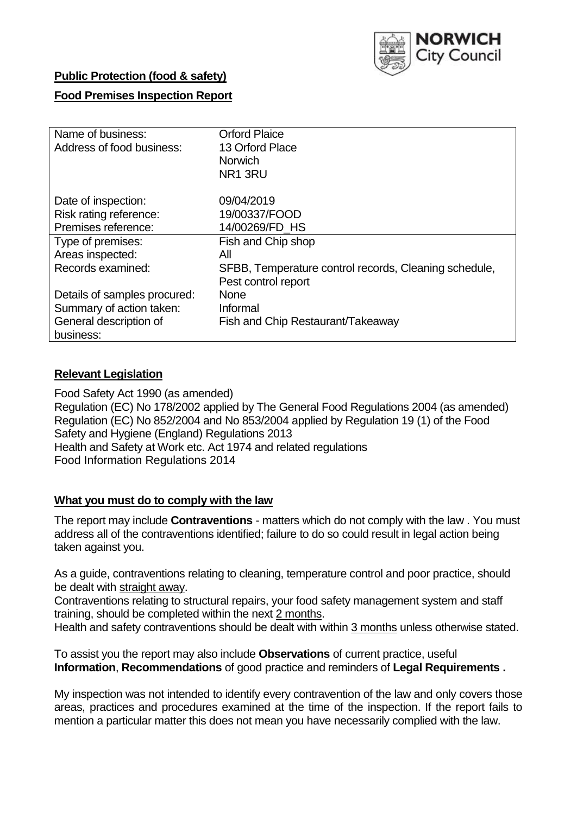

# **Public Protection (food & safety)**

# **Food Premises Inspection Report**

| Name of business:            | <b>Orford Plaice</b>                                  |  |  |  |  |  |
|------------------------------|-------------------------------------------------------|--|--|--|--|--|
| Address of food business:    | 13 Orford Place                                       |  |  |  |  |  |
|                              | <b>Norwich</b>                                        |  |  |  |  |  |
|                              | NR <sub>1</sub> 3RU                                   |  |  |  |  |  |
| Date of inspection:          | 09/04/2019                                            |  |  |  |  |  |
| Risk rating reference:       | 19/00337/FOOD                                         |  |  |  |  |  |
| Premises reference:          | 14/00269/FD HS                                        |  |  |  |  |  |
| Type of premises:            | Fish and Chip shop                                    |  |  |  |  |  |
| Areas inspected:             | All                                                   |  |  |  |  |  |
| Records examined:            | SFBB, Temperature control records, Cleaning schedule, |  |  |  |  |  |
|                              | Pest control report                                   |  |  |  |  |  |
| Details of samples procured: | <b>None</b>                                           |  |  |  |  |  |
| Summary of action taken:     | Informal                                              |  |  |  |  |  |
| General description of       | Fish and Chip Restaurant/Takeaway                     |  |  |  |  |  |
| business:                    |                                                       |  |  |  |  |  |

#### **Relevant Legislation**

Food Safety Act 1990 (as amended) Regulation (EC) No 178/2002 applied by The General Food Regulations 2004 (as amended) Regulation (EC) No 852/2004 and No 853/2004 applied by Regulation 19 (1) of the Food Safety and Hygiene (England) Regulations 2013 Health and Safety at Work etc. Act 1974 and related regulations Food Information Regulations 2014

#### **What you must do to comply with the law**

The report may include **Contraventions** - matters which do not comply with the law . You must address all of the contraventions identified; failure to do so could result in legal action being taken against you.

As a guide, contraventions relating to cleaning, temperature control and poor practice, should be dealt with straight away.

Contraventions relating to structural repairs, your food safety management system and staff training, should be completed within the next 2 months.

Health and safety contraventions should be dealt with within 3 months unless otherwise stated.

To assist you the report may also include **Observations** of current practice, useful **Information**, **Recommendations** of good practice and reminders of **Legal Requirements .**

My inspection was not intended to identify every contravention of the law and only covers those areas, practices and procedures examined at the time of the inspection. If the report fails to mention a particular matter this does not mean you have necessarily complied with the law.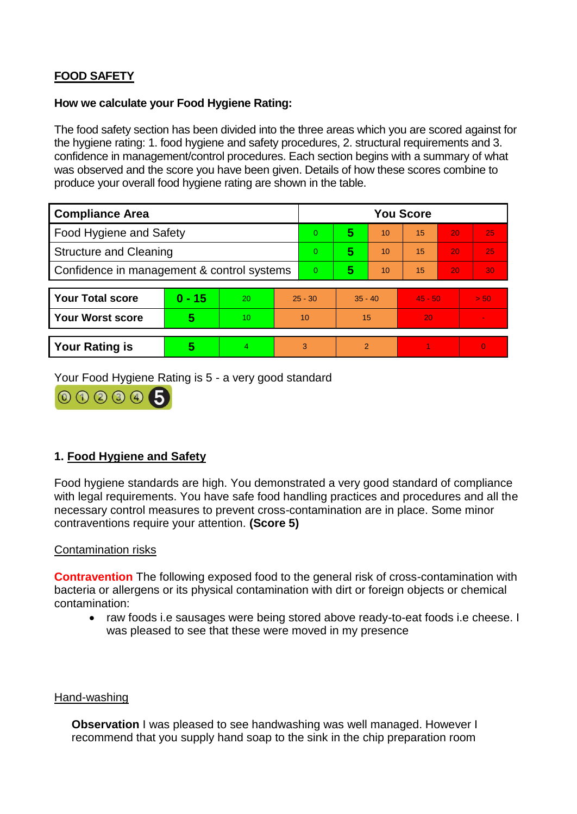# **FOOD SAFETY**

#### **How we calculate your Food Hygiene Rating:**

The food safety section has been divided into the three areas which you are scored against for the hygiene rating: 1. food hygiene and safety procedures, 2. structural requirements and 3. confidence in management/control procedures. Each section begins with a summary of what was observed and the score you have been given. Details of how these scores combine to produce your overall food hygiene rating are shown in the table.

| <b>Compliance Area</b>                     |          |                  |           | <b>You Score</b> |                |    |           |    |                |  |  |
|--------------------------------------------|----------|------------------|-----------|------------------|----------------|----|-----------|----|----------------|--|--|
| Food Hygiene and Safety                    |          |                  |           | 0                | 5              | 10 | 15        | 20 | 25             |  |  |
| <b>Structure and Cleaning</b>              |          |                  |           | 0                | 5              | 10 | 15        | 20 | 25             |  |  |
| Confidence in management & control systems |          |                  | 0         | 5                | 10             | 15 | 20        | 30 |                |  |  |
|                                            |          |                  |           |                  |                |    |           |    |                |  |  |
| <b>Your Total score</b>                    | $0 - 15$ | 20               | $25 - 30$ |                  | $35 - 40$      |    | $45 - 50$ |    | > 50           |  |  |
| <b>Your Worst score</b>                    | 5        | 10 <sup>10</sup> | 10        |                  | 15             |    | 20        |    | $\blacksquare$ |  |  |
|                                            |          |                  |           |                  |                |    |           |    |                |  |  |
| <b>Your Rating is</b>                      | 5        | 4                | 3         |                  | $\overline{2}$ |    |           |    | $\Omega$       |  |  |

Your Food Hygiene Rating is 5 - a very good standard



# **1. Food Hygiene and Safety**

Food hygiene standards are high. You demonstrated a very good standard of compliance with legal requirements. You have safe food handling practices and procedures and all the necessary control measures to prevent cross-contamination are in place. Some minor contraventions require your attention. **(Score 5)**

## Contamination risks

**Contravention** The following exposed food to the general risk of cross-contamination with bacteria or allergens or its physical contamination with dirt or foreign objects or chemical contamination:

• raw foods i.e sausages were being stored above ready-to-eat foods i.e cheese. I was pleased to see that these were moved in my presence

#### Hand-washing

**Observation** I was pleased to see handwashing was well managed. However I recommend that you supply hand soap to the sink in the chip preparation room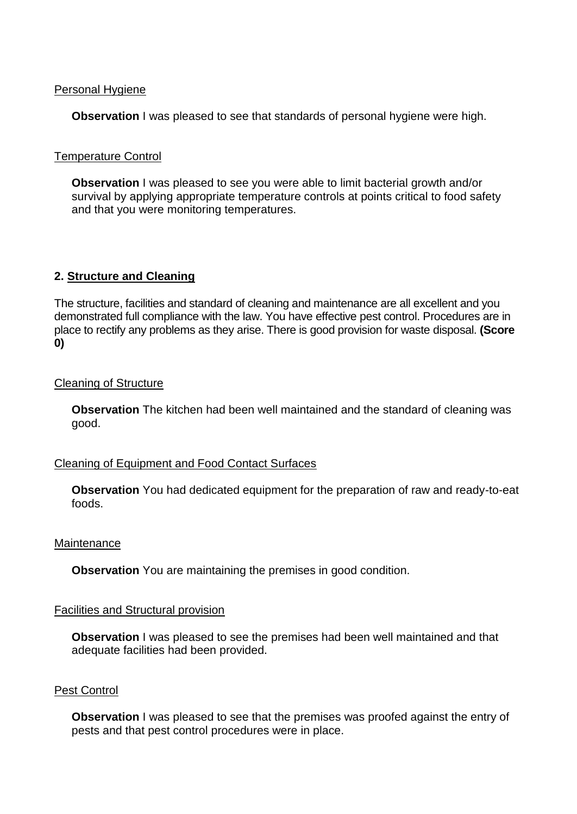#### Personal Hygiene

**Observation** I was pleased to see that standards of personal hygiene were high.

#### Temperature Control

**Observation** I was pleased to see you were able to limit bacterial growth and/or survival by applying appropriate temperature controls at points critical to food safety and that you were monitoring temperatures.

## **2. Structure and Cleaning**

The structure, facilities and standard of cleaning and maintenance are all excellent and you demonstrated full compliance with the law. You have effective pest control. Procedures are in place to rectify any problems as they arise. There is good provision for waste disposal. **(Score 0)**

#### Cleaning of Structure

**Observation** The kitchen had been well maintained and the standard of cleaning was good.

## Cleaning of Equipment and Food Contact Surfaces

**Observation** You had dedicated equipment for the preparation of raw and ready-to-eat foods.

#### **Maintenance**

**Observation** You are maintaining the premises in good condition.

#### Facilities and Structural provision

**Observation** I was pleased to see the premises had been well maintained and that adequate facilities had been provided.

#### Pest Control

**Observation** I was pleased to see that the premises was proofed against the entry of pests and that pest control procedures were in place.